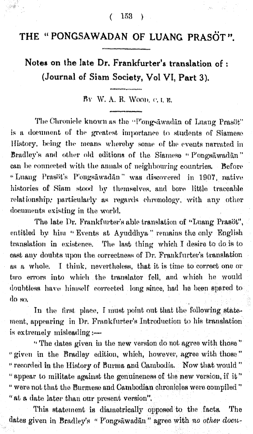$(153)$ 

## THE "PONGSAWADAN OF LUANG PRASOT".

Notes on the late Dr. Frankfurter's translation of : (Journal of Siam Society, Vol VI, Part 3).

BY W. A. R. WOOD. C. L. E.

The Chronicle known as the "Pongsāwadān of Luang Prasöt" is a document of the greatest importance to students of Siamese History, being the means whereby some of the events narrated in Bradley's and other old editions of the Siamese "Pongsawadan" can be connected with the annals of neighbouring countries. Before "Luang Prasöt's Pongsäwadän" was discovered in 1907, native histories of Siam stood by themselves, and bore little traceable relationship, particularly as regards chronology, with any other documents existing in the world.

The late Dr. Frankfurter's able translation of "Luang Prasöt", entitled by him "Events at Ayuddhya" remains the only English translation in existence. The last thing which I desire to do is to cast any doubts upon the correctness of Dr. Frankfurter's translation as a whole. I think, nevertheless, that it is time to correct one or two errors into which the translator fell, and which he would doubtless have himself corrected long since, had he been spared to ർവെ.

In the first place, I must point out that the following statement, appearing in Dr. Frankfurter's Introduction to his translation is extremely misleading :-

"The dates given in the new version do not agree with those" " given in the Bradley edition, which, however, agree with those." " recorded in the History of Burma and Cambodia. Now that would " "appear to militate against the genuineness of the new version, if it." " were not that the Burmese and Cambodian chronicles were compiled" "at a date later than our present version".

This statement is diametrically opposed to the facts. The dates given in Bradley's "Pongsäwadän" agree with no other docu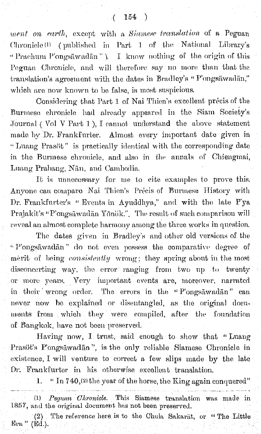ment on earth, except with a Siamese translation of a Peguan Chronicle<sup>(1)</sup> (published in Part 1 of the National Library's "Prachum P'ongsāwadān"). I know nothing of the origin of this Peguan Chronicle, and will therefore say no more than that the translation's agreement with the dates in Bradley's "P'ongsāwadān," which are now known to be false, is most suspicious.

Considering that Part 1 of Nai Thien's excellent précis of the Burmese chronicle had already appeared in the Siam Society's Journal (Vol V Part 1), I cannot understand the above statement made by Dr. Frankfurter. Almost every important date given in "Luang Prasöt" is practically identical with the corresponding date in the Burmese chronicle, and also in the annals of Chiengmai, Luang Prabang, Nān, and Cambodia.

It is unnecessary for me to cite examples to prove this. Anyone can compare Nai Thien's Précis of Burmese History with Dr. Frankfurter's "Events in Ayuddhya," and with the late P'ya Prajakit's "P'ongsāwadān Yōnök.". The result of such comparison will reveal an almost complete harmony among the three works in question.

The dates given in Bradley's and other old versions of the "P'ongsāwadān" do not even possess the comparative degree of merit of being *consistently* wrong; they spring about in the most disconcerting way, the error ranging from two up to twenty or more years. Very important events are, moreover, narrated in their wrong order. The errors in the "Pongsāwadān" can never now be explained or disentangled, as the original documents from which they were compiled, after the foundation of Bangkok, have not been preserved.

Having now, I trust, said enough to show that "Luang Prasöt's P'ongsäwadān", is the only reliable Siamese Chronicle in existence, I will venture to correct a few slips made by the late Dr. Frankfurter in his otherwise excellent translation.

> " In  $740$ , (2) the year of the horse, the King again conquered" 1.

Pequan Chronicle. This Siamese translation was made in  $(1)$ 1857, and the original document has not been preserved.

(2) The reference here is to the Chula Sakarat, or "The Little Era." (Ed.).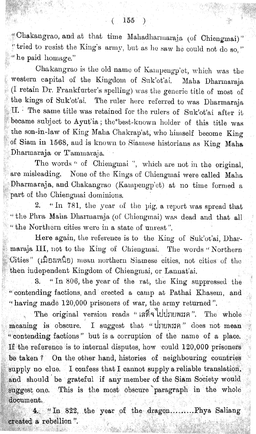". Chakangrao, and at that time Mahadharmaraja (of Chiengmai)" tried to resist the King's army, but as he saw he could not do so," "he paid homage."

Chakangrao is the old name of Kampengp'et, which was the western capital of the Kingdom of Suk'ot'ai. Maha Dharmaraja  $(I$  retain Dr. Frankfurter's spelling) was the generic title of most of the kings of Suk'ot'ai. The ruler here referred to was Dharmaraja II.  $\cdot$  The same title was retained for the rulers of Suk'ot'ai after it became subject to Ayut'ia; the\*best-known holder of this title was the son-in-law of King Maha Chakrap'at, who himself become King of Siam in 1568, and is known to Siamese historians as King Maha Dharmaraja or Tammaraja.

The words " of Chiengmai ", which are not in the original, are misleading. None of the Kings of Chiengmai were called Maha Dharmaraja, and Ohakangrao (Kampengp'et) at no time formed a part of the Chiengmai dominions.

2. "In 781, the year of the pig, a report was spread that "the Phra Maha Dharmaraja (of Chiengmai) was dead and that all "the Northern cities were in a state of unrest".

Here again, the reference is to the King of Suk'ot'ai, Dharmaraja III, not to the King of Chiengmai. The words "Northern  $Cities''$  ( $\hat{\mathfrak{gl}}$ B $\mathfrak{g}}$ W $\hat{\mathfrak{gl}}$ ) mean northern Siamese cities, not cities of the then independent Kingdom of Ohiengmai, or Lannat'ai.

3. "In 806, the year of the rat, the King suppressed the "contending factions, and erected a camp at Pathai Khasem, and "having made 120,000 prisoners of war, the army returned".

The original version reads " $\log_{10}$ " 110 The whole meaning is obscure. I suggest that "Unuwiin" does not mean '' contending factions" but is a corruption of the name of a place. If the reference is to internal disputes, how could  $120,000$  prisoners be taken? On the other hand, histories of neighbouring countries supply no clue. I confess that I cannot supply a reliable translation, and should be grateful if any member of the Siam Society would suggest one. This is the most obscure paragraph in the whole document.

4. "In 822, the year of the dragon........ Phya Saliang created a rebellion".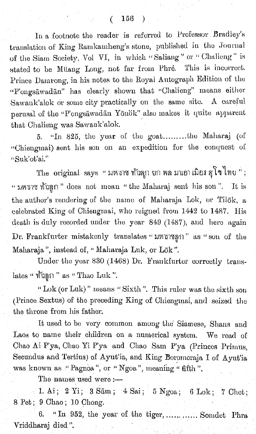In a footnote the reader is referred to Professor Bradley's translation of King Ramkamheng's stone, published in the Journal of the Siam Society, Vol VI, in which "Saliang" or "Challeng" is stated to be Müang Long, not far from Phré. This is incorrect. Prince Damrong, in his notes to the Royal Autograph Edition of the "P'ongsäwadän" has clearly shown that "Chalieng" means either Sawank'alok or some city practically on the same site. A careful perusal of the "P'ongsāwadān Yōnok" also makes it quite apparent that Chalieng was Sawank'alok.

5. "In 825, the year of the goat........the Maharaj (of "Chiengmai) sent his son on an expedition for the conquest of "Suk'ot'ai."

The original says "มหาก ท้าลุก ยก พล มนอาเมือง สุโขไทย"; " มหาราช ทั่วลูก " does not mean " the Maharaj sent his son ". It is the author's rendering of the name of Maharaja Lok, or Tilok, a celebrated King of Chiengmai, who reigned from 1442 to 1487. His death is duly recorded under the year 849 (1487), and here again Dr. Frankfurter mistakenly translates "unuman" as "son of the Maharaja", instead of, "Maharaja Luk, or Lök".

Under the year 830 (1468) Dr. Frankfurter correctly translates " ทั่วลูก " as " Thao Luk ".

"Lok (or Luk)" means "Sixth". This ruler was the sixth son (Prince Sextus) of the preceding King of Chiengmai, and seized the the throne from his father.

It used to be very common among the Siamese, Shans and Laos to name their children on a numerical system. We read of Chao Ai P'ya, Chao Yi P'ya and Chao Sam P'ya (Princes Primus, Secundus and Tertius) of Ayut'ia, and King Boromoraja I of Ayut'ia was known as "Pagnoa", or "Ngoa", meaning "fifth".

The names used were :-

1. Ai; 2 Yi; 3 Sam; 4 Sai; 5 Ngoa; 6 Lok; 7 Chet; 8 Pet; 9 Chao; 10 Chong.

"In 952, the year of the tiger, ..... ...... Somdet Phra Vriddharaj died".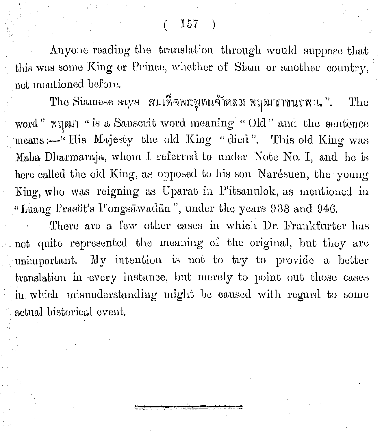$(157)$ 

Anyone reading the translation through would suppose that this was some King or Prince, whether of Siam or another country, not mentioned before.

The Siamese says ผมเด็จพระพุทธจ้าหลวง พฤฒาราชนฤพาน". The word" Num "is a Sanscrit word meaning "Old" and the sentence means :- "His Majesty the old King "died". This old King was Maha Dharmaraja, whom I referred to under Note No. I, and he is here called the old King, as opposed to his son Narésuen, the young King, who was reigning as Uparat in P'itsanulok, as mentioned in "Luang Prasöt's P'ongsawadan", under the years 933 and 946.

There are a few other cases in which Dr. Frankfurter has not quite represented the meaning of the original, but they are unimportant. My intention is not to try to provide a better translation in every instance, but merely to point out those cases in which misunderstanding might be caused with regard to some actual historical event.